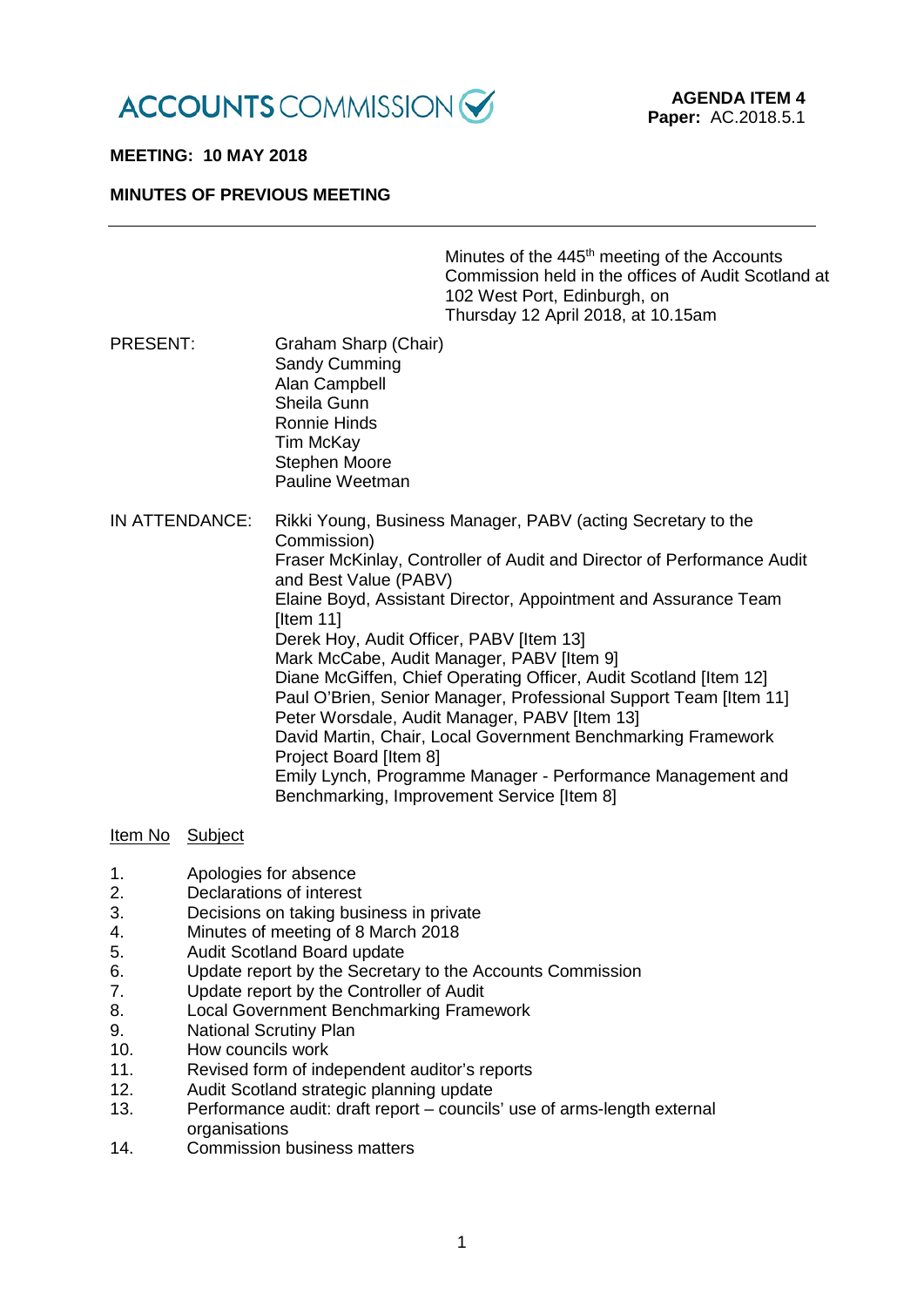

# **MEETING: 10 MAY 2018**

## **MINUTES OF PREVIOUS MEETING**

Minutes of the 445<sup>th</sup> meeting of the Accounts Commission held in the offices of Audit Scotland at 102 West Port, Edinburgh, on Thursday 12 April 2018, at 10.15am

- PRESENT: Graham Sharp (Chair) Sandy Cumming Alan Campbell Sheila Gunn Ronnie Hinds Tim McKay Stephen Moore Pauline Weetman
- IN ATTENDANCE: Rikki Young, Business Manager, PABV (acting Secretary to the Commission) Fraser McKinlay, Controller of Audit and Director of Performance Audit and Best Value (PABV) Elaine Boyd, Assistant Director, Appointment and Assurance Team [Item 11] Derek Hoy, Audit Officer, PABV [Item 13] Mark McCabe, Audit Manager, PABV [Item 9] Diane McGiffen, Chief Operating Officer, Audit Scotland [Item 12] Paul O'Brien, Senior Manager, Professional Support Team [Item 11] Peter Worsdale, Audit Manager, PABV [Item 13] David Martin, Chair, Local Government Benchmarking Framework Project Board [Item 8] Emily Lynch, Programme Manager - Performance Management and Benchmarking, Improvement Service [Item 8]

### Item No Subject

- 1. Apologies for absence
- 2. Declarations of interest<br>3. Decisions on taking bus
- Decisions on taking business in private
- 4. Minutes of meeting of 8 March 2018
- 5. Audit Scotland Board update
- 6. Update report by the Secretary to the Accounts Commission
- 7. Update report by the Controller of Audit
- 8. Local Government Benchmarking Framework
- 9. National Scrutiny Plan
- 10. How councils work
- 11. Revised form of independent auditor's reports
- 12. Audit Scotland strategic planning update
- 13. Performance audit: draft report councils' use of arms-length external organisations
- 14. Commission business matters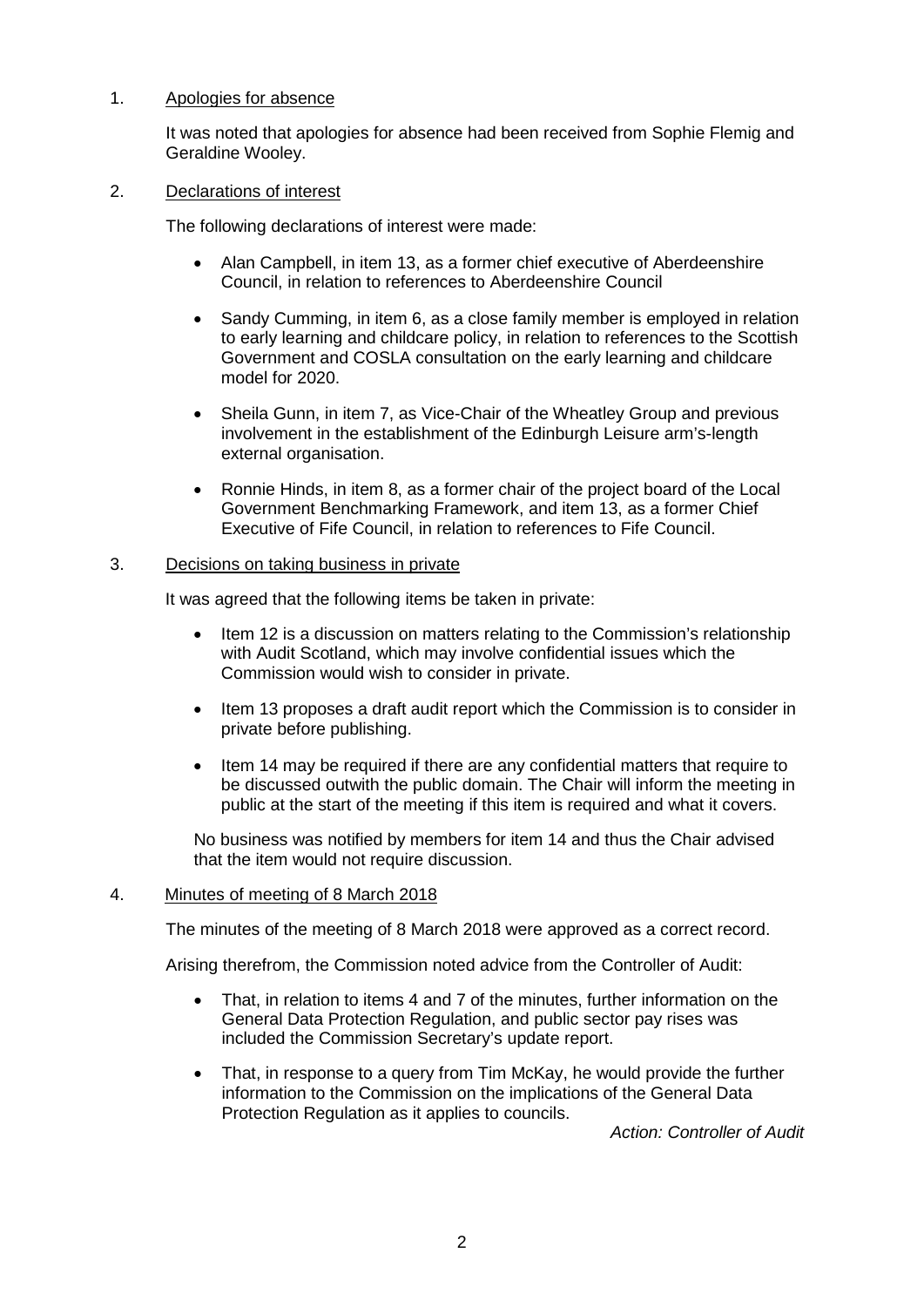# 1. Apologies for absence

It was noted that apologies for absence had been received from Sophie Flemig and Geraldine Wooley.

### 2. Declarations of interest

The following declarations of interest were made:

- Alan Campbell, in item 13, as a former chief executive of Aberdeenshire Council, in relation to references to Aberdeenshire Council
- Sandy Cumming, in item 6, as a close family member is employed in relation to early learning and childcare policy, in relation to references to the Scottish Government and COSLA consultation on the early learning and childcare model for 2020.
- Sheila Gunn, in item 7, as Vice-Chair of the Wheatley Group and previous involvement in the establishment of the Edinburgh Leisure arm's-length external organisation.
- Ronnie Hinds, in item 8, as a former chair of the project board of the Local Government Benchmarking Framework, and item 13, as a former Chief Executive of Fife Council, in relation to references to Fife Council.

### 3. Decisions on taking business in private

It was agreed that the following items be taken in private:

- Item 12 is a discussion on matters relating to the Commission's relationship with Audit Scotland, which may involve confidential issues which the Commission would wish to consider in private.
- Item 13 proposes a draft audit report which the Commission is to consider in private before publishing.
- Item 14 may be required if there are any confidential matters that require to be discussed outwith the public domain. The Chair will inform the meeting in public at the start of the meeting if this item is required and what it covers.

No business was notified by members for item 14 and thus the Chair advised that the item would not require discussion.

## 4. Minutes of meeting of 8 March 2018

The minutes of the meeting of 8 March 2018 were approved as a correct record.

Arising therefrom, the Commission noted advice from the Controller of Audit:

- That, in relation to items 4 and 7 of the minutes, further information on the General Data Protection Regulation, and public sector pay rises was included the Commission Secretary's update report.
- That, in response to a query from Tim McKay, he would provide the further information to the Commission on the implications of the General Data Protection Regulation as it applies to councils.

*Action: Controller of Audit*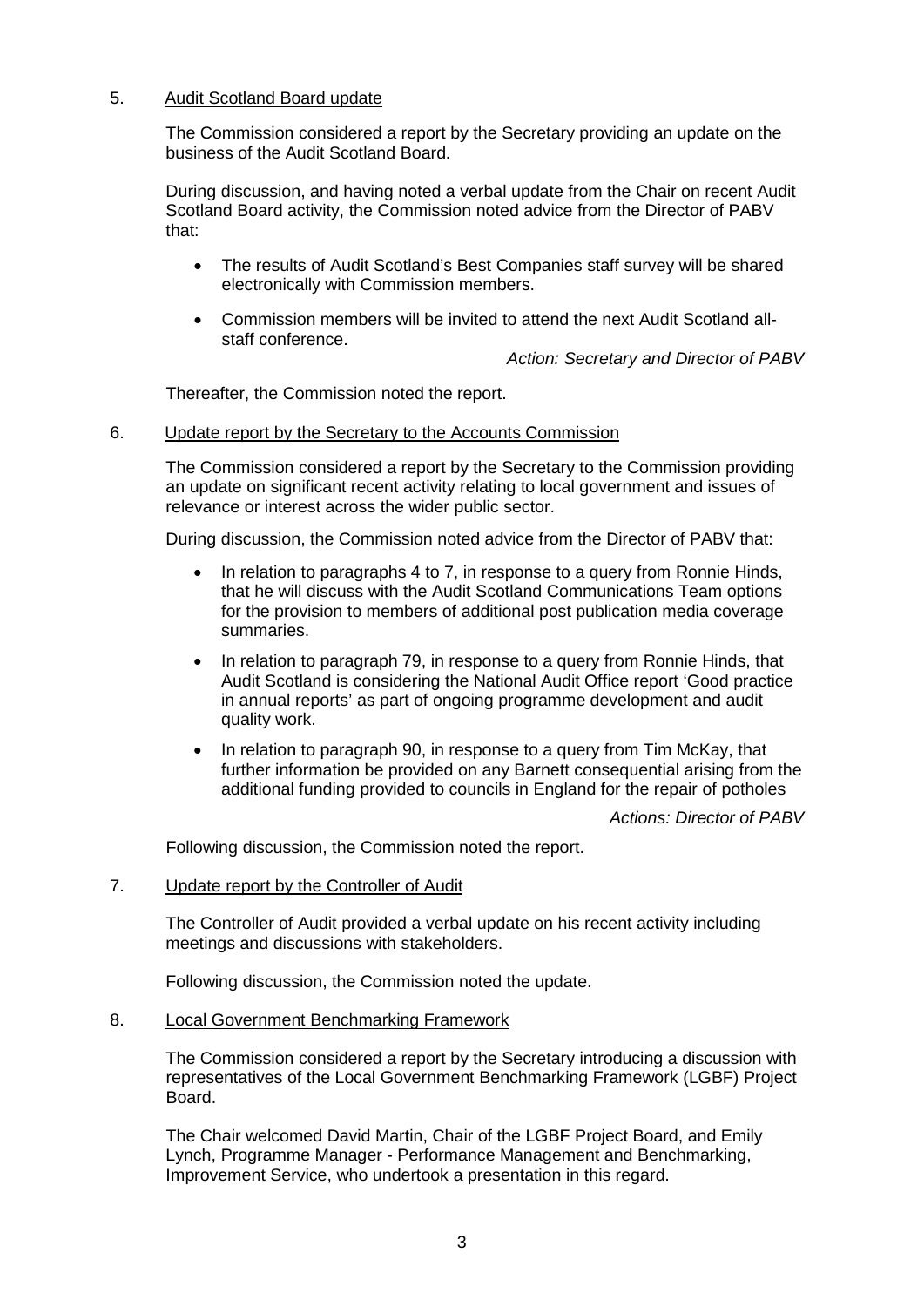# 5. Audit Scotland Board update

The Commission considered a report by the Secretary providing an update on the business of the Audit Scotland Board.

During discussion, and having noted a verbal update from the Chair on recent Audit Scotland Board activity, the Commission noted advice from the Director of PABV that:

- The results of Audit Scotland's Best Companies staff survey will be shared electronically with Commission members.
- Commission members will be invited to attend the next Audit Scotland allstaff conference.

*Action: Secretary and Director of PABV*

Thereafter, the Commission noted the report.

# 6. Update report by the Secretary to the Accounts Commission

The Commission considered a report by the Secretary to the Commission providing an update on significant recent activity relating to local government and issues of relevance or interest across the wider public sector.

During discussion, the Commission noted advice from the Director of PABV that:

- In relation to paragraphs 4 to 7, in response to a query from Ronnie Hinds, that he will discuss with the Audit Scotland Communications Team options for the provision to members of additional post publication media coverage summaries.
- In relation to paragraph 79, in response to a query from Ronnie Hinds, that Audit Scotland is considering the National Audit Office report 'Good practice in annual reports' as part of ongoing programme development and audit quality work.
- In relation to paragraph 90, in response to a query from Tim McKay, that further information be provided on any Barnett consequential arising from the additional funding provided to councils in England for the repair of potholes

*Actions: Director of PABV*

Following discussion, the Commission noted the report.

### 7. Update report by the Controller of Audit

The Controller of Audit provided a verbal update on his recent activity including meetings and discussions with stakeholders.

Following discussion, the Commission noted the update.

### 8. Local Government Benchmarking Framework

The Commission considered a report by the Secretary introducing a discussion with representatives of the Local Government Benchmarking Framework (LGBF) Project Board.

The Chair welcomed David Martin, Chair of the LGBF Project Board, and Emily Lynch, Programme Manager - Performance Management and Benchmarking, Improvement Service, who undertook a presentation in this regard.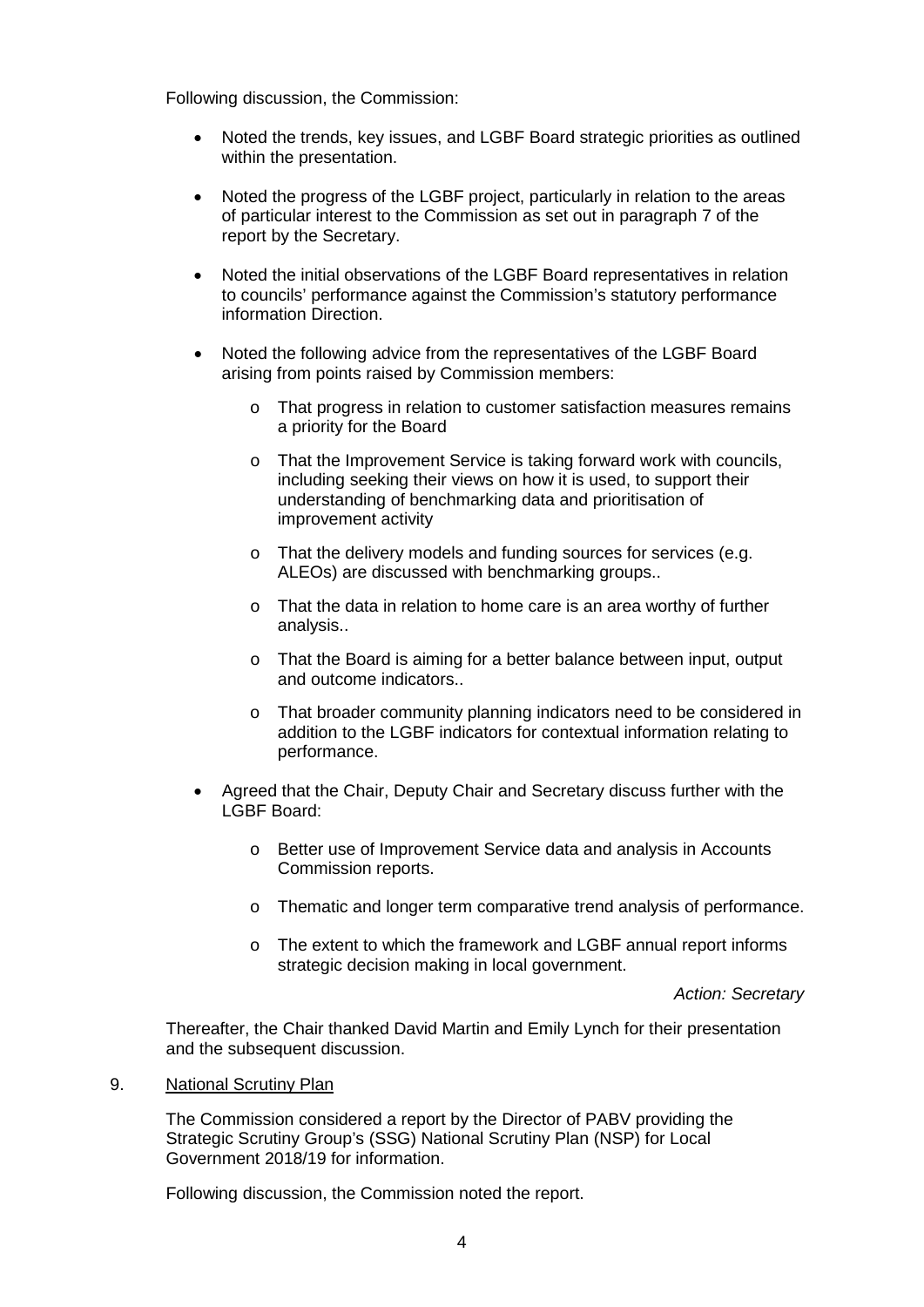Following discussion, the Commission:

- Noted the trends, key issues, and LGBF Board strategic priorities as outlined within the presentation.
- Noted the progress of the LGBF project, particularly in relation to the areas of particular interest to the Commission as set out in paragraph 7 of the report by the Secretary.
- Noted the initial observations of the LGBF Board representatives in relation to councils' performance against the Commission's statutory performance information Direction.
- Noted the following advice from the representatives of the LGBF Board arising from points raised by Commission members:
	- o That progress in relation to customer satisfaction measures remains a priority for the Board
	- o That the Improvement Service is taking forward work with councils, including seeking their views on how it is used, to support their understanding of benchmarking data and prioritisation of improvement activity
	- o That the delivery models and funding sources for services (e.g. ALEOs) are discussed with benchmarking groups..
	- o That the data in relation to home care is an area worthy of further analysis..
	- o That the Board is aiming for a better balance between input, output and outcome indicators..
	- o That broader community planning indicators need to be considered in addition to the LGBF indicators for contextual information relating to performance.
- Agreed that the Chair, Deputy Chair and Secretary discuss further with the LGBF Board:
	- o Better use of Improvement Service data and analysis in Accounts Commission reports.
	- o Thematic and longer term comparative trend analysis of performance.
	- o The extent to which the framework and LGBF annual report informs strategic decision making in local government.

*Action: Secretary*

Thereafter, the Chair thanked David Martin and Emily Lynch for their presentation and the subsequent discussion.

9. National Scrutiny Plan

The Commission considered a report by the Director of PABV providing the Strategic Scrutiny Group's (SSG) National Scrutiny Plan (NSP) for Local Government 2018/19 for information.

Following discussion, the Commission noted the report.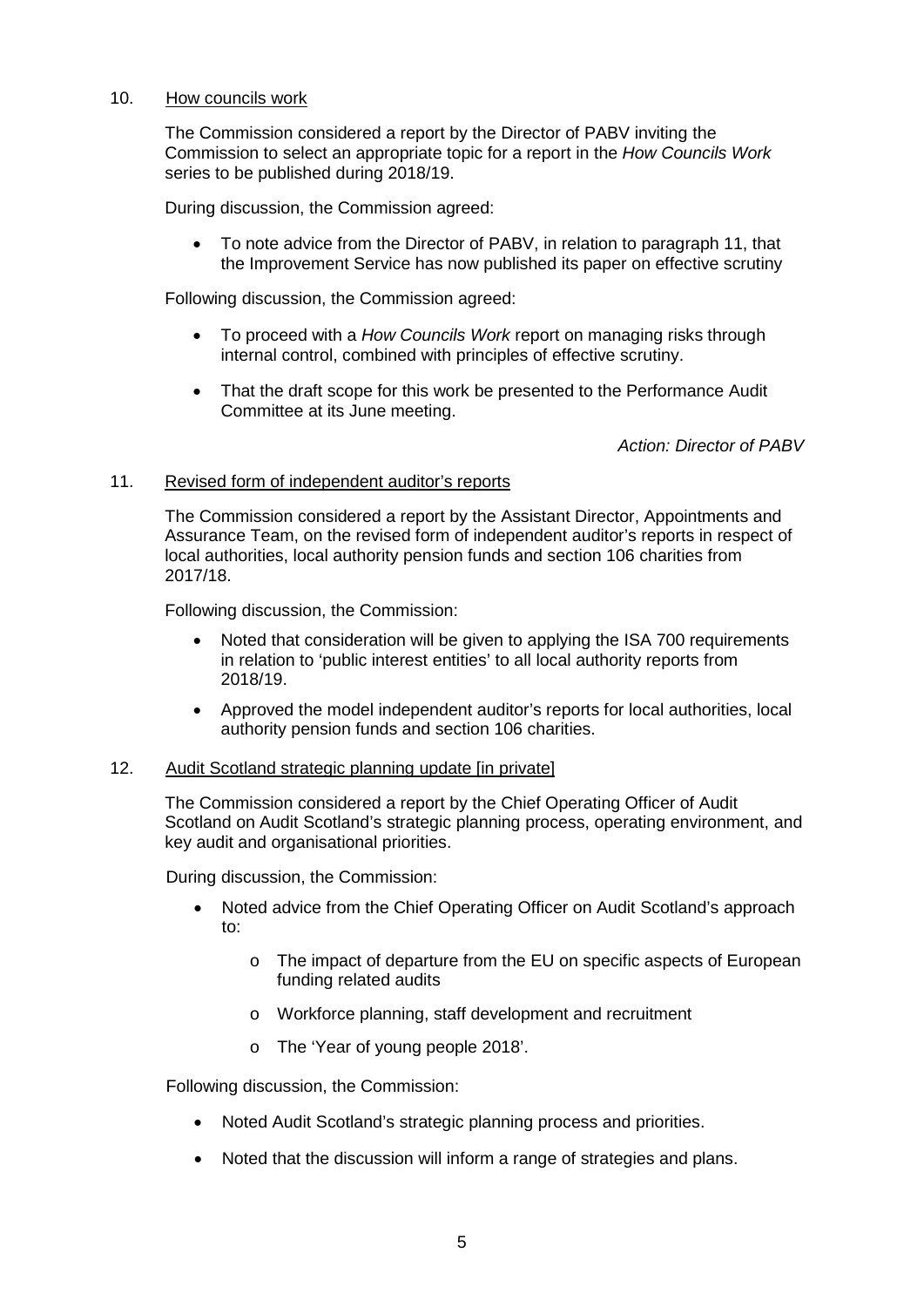# 10. How councils work

The Commission considered a report by the Director of PABV inviting the Commission to select an appropriate topic for a report in the *How Councils Work* series to be published during 2018/19.

During discussion, the Commission agreed:

• To note advice from the Director of PABV, in relation to paragraph 11, that the Improvement Service has now published its paper on effective scrutiny

Following discussion, the Commission agreed:

- To proceed with a *How Councils Work* report on managing risks through internal control, combined with principles of effective scrutiny.
- That the draft scope for this work be presented to the Performance Audit Committee at its June meeting.

*Action: Director of PABV*

## 11. Revised form of independent auditor's reports

The Commission considered a report by the Assistant Director, Appointments and Assurance Team, on the revised form of independent auditor's reports in respect of local authorities, local authority pension funds and section 106 charities from 2017/18.

Following discussion, the Commission:

- Noted that consideration will be given to applying the ISA 700 requirements in relation to 'public interest entities' to all local authority reports from 2018/19.
- Approved the model independent auditor's reports for local authorities, local authority pension funds and section 106 charities.

### 12. Audit Scotland strategic planning update [in private]

The Commission considered a report by the Chief Operating Officer of Audit Scotland on Audit Scotland's strategic planning process, operating environment, and key audit and organisational priorities.

During discussion, the Commission:

- Noted advice from the Chief Operating Officer on Audit Scotland's approach to:
	- o The impact of departure from the EU on specific aspects of European funding related audits
	- o Workforce planning, staff development and recruitment
	- o The 'Year of young people 2018'.

Following discussion, the Commission:

- Noted Audit Scotland's strategic planning process and priorities.
- Noted that the discussion will inform a range of strategies and plans.